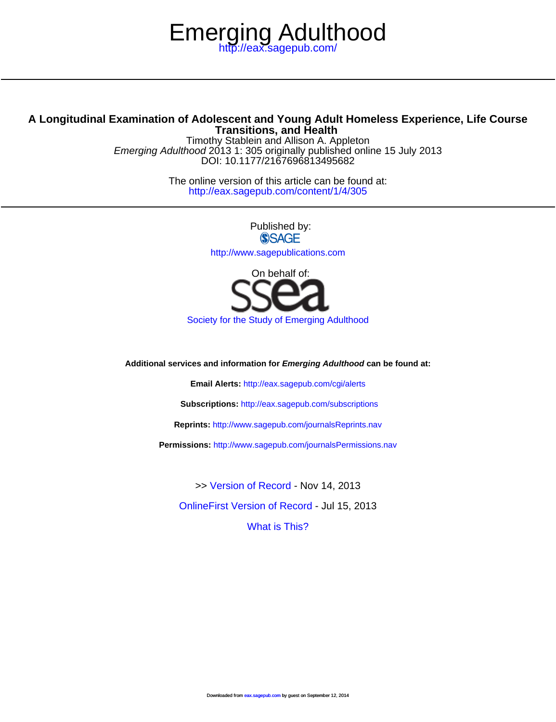# <http://eax.sagepub.com/> Emerging Adulthood

# **Transitions, and Health A Longitudinal Examination of Adolescent and Young Adult Homeless Experience, Life Course**

DOI: 10.1177/2167696813495682 Emerging Adulthood 2013 1: 305 originally published online 15 July 2013 Timothy Stablein and Allison A. Appleton

> <http://eax.sagepub.com/content/1/4/305> The online version of this article can be found at:

> > Published by: **SSAGE** <http://www.sagepublications.com>



**Additional services and information for Emerging Adulthood can be found at:**

**Email Alerts:** <http://eax.sagepub.com/cgi/alerts>

**Subscriptions:** <http://eax.sagepub.com/subscriptions>

**Reprints:** <http://www.sagepub.com/journalsReprints.nav>

**Permissions:** <http://www.sagepub.com/journalsPermissions.nav>

>> [Version of Record -](http://eax.sagepub.com/content/1/4/305.full.pdf) Nov 14, 2013

[OnlineFirst Version of Record -](http://eax.sagepub.com/content/early/2013/07/12/2167696813495682.full.pdf) Jul 15, 2013

[What is This?](http://online.sagepub.com/site/sphelp/vorhelp.xhtml)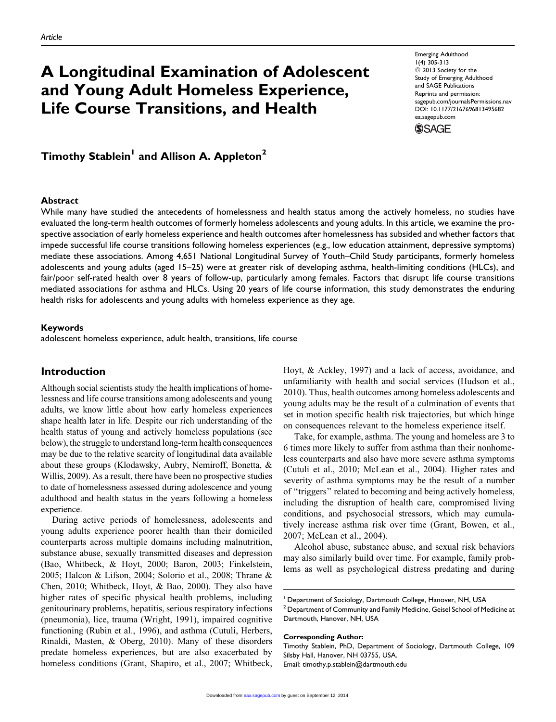# A Longitudinal Examination of Adolescent and Young Adult Homeless Experience, Life Course Transitions, and Health

Emerging Adulthood 1(4) 305-313  $\odot$  2013 Society for the Study of Emerging Adulthood and SAGE Publications Reprints and permission: [sagepub.com/journalsPermissions.nav](http://www.sagepub.com/journalsPermissions.nav) DOI: 10.1177/2167696813495682 [ea.sagepub.com](http://ea.sagepub.com)



Timothy Stablein<sup>1</sup> and Allison A. Appleton<sup>2</sup>

#### Abstract

While many have studied the antecedents of homelessness and health status among the actively homeless, no studies have evaluated the long-term health outcomes of formerly homeless adolescents and young adults. In this article, we examine the prospective association of early homeless experience and health outcomes after homelessness has subsided and whether factors that impede successful life course transitions following homeless experiences (e.g., low education attainment, depressive symptoms) mediate these associations. Among 4,651 National Longitudinal Survey of Youth–Child Study participants, formerly homeless adolescents and young adults (aged 15–25) were at greater risk of developing asthma, health-limiting conditions (HLCs), and fair/poor self-rated health over 8 years of follow-up, particularly among females. Factors that disrupt life course transitions mediated associations for asthma and HLCs. Using 20 years of life course information, this study demonstrates the enduring health risks for adolescents and young adults with homeless experience as they age.

### Keywords

adolescent homeless experience, adult health, transitions, life course

# Introduction

Although social scientists study the health implications of homelessness and life course transitions among adolescents and young adults, we know little about how early homeless experiences shape health later in life. Despite our rich understanding of the health status of young and actively homeless populations (see below), the struggle to understand long-term health consequences may be due to the relative scarcity of longitudinal data available about these groups (Klodawsky, Aubry, Nemiroff, Bonetta, & Willis, 2009). As a result, there have been no prospective studies to date of homelessness assessed during adolescence and young adulthood and health status in the years following a homeless experience.

During active periods of homelessness, adolescents and young adults experience poorer health than their domiciled counterparts across multiple domains including malnutrition, substance abuse, sexually transmitted diseases and depression (Bao, Whitbeck, & Hoyt, 2000; Baron, 2003; Finkelstein, 2005; Halcon & Lifson, 2004; Solorio et al., 2008; Thrane & Chen, 2010; Whitbeck, Hoyt, & Bao, 2000). They also have higher rates of specific physical health problems, including genitourinary problems, hepatitis, serious respiratory infections (pneumonia), lice, trauma (Wright, 1991), impaired cognitive functioning (Rubin et al., 1996), and asthma (Cutuli, Herbers, Rinaldi, Masten, & Oberg, 2010). Many of these disorders predate homeless experiences, but are also exacerbated by homeless conditions (Grant, Shapiro, et al., 2007; Whitbeck,

Hoyt, & Ackley, 1997) and a lack of access, avoidance, and unfamiliarity with health and social services (Hudson et al., 2010). Thus, health outcomes among homeless adolescents and young adults may be the result of a culmination of events that set in motion specific health risk trajectories, but which hinge on consequences relevant to the homeless experience itself.

Take, for example, asthma. The young and homeless are 3 to 6 times more likely to suffer from asthma than their nonhomeless counterparts and also have more severe asthma symptoms (Cutuli et al., 2010; McLean et al., 2004). Higher rates and severity of asthma symptoms may be the result of a number of ''triggers'' related to becoming and being actively homeless, including the disruption of health care, compromised living conditions, and psychosocial stressors, which may cumulatively increase asthma risk over time (Grant, Bowen, et al., 2007; McLean et al., 2004).

Alcohol abuse, substance abuse, and sexual risk behaviors may also similarly build over time. For example, family problems as well as psychological distress predating and during

#### Corresponding Author:

<sup>&</sup>lt;sup>1</sup> Department of Sociology, Dartmouth College, Hanover, NH, USA  $2$  Department of Community and Family Medicine, Geisel School of Medicine at Dartmouth, Hanover, NH, USA

Timothy Stablein, PhD, Department of Sociology, Dartmouth College, 109 Silsby Hall, Hanover, NH 03755, USA. Email: timothy.p.stablein@dartmouth.edu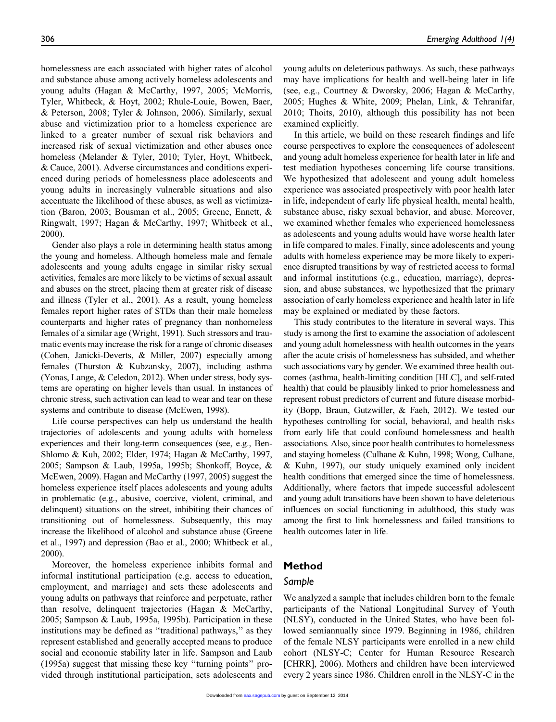homelessness are each associated with higher rates of alcohol and substance abuse among actively homeless adolescents and young adults (Hagan & McCarthy, 1997, 2005; McMorris, Tyler, Whitbeck, & Hoyt, 2002; Rhule-Louie, Bowen, Baer, & Peterson, 2008; Tyler & Johnson, 2006). Similarly, sexual abuse and victimization prior to a homeless experience are linked to a greater number of sexual risk behaviors and increased risk of sexual victimization and other abuses once homeless (Melander & Tyler, 2010; Tyler, Hoyt, Whitbeck, & Cauce, 2001). Adverse circumstances and conditions experienced during periods of homelessness place adolescents and young adults in increasingly vulnerable situations and also accentuate the likelihood of these abuses, as well as victimization (Baron, 2003; Bousman et al., 2005; Greene, Ennett, & Ringwalt, 1997; Hagan & McCarthy, 1997; Whitbeck et al., 2000).

Gender also plays a role in determining health status among the young and homeless. Although homeless male and female adolescents and young adults engage in similar risky sexual activities, females are more likely to be victims of sexual assault and abuses on the street, placing them at greater risk of disease and illness (Tyler et al., 2001). As a result, young homeless females report higher rates of STDs than their male homeless counterparts and higher rates of pregnancy than nonhomeless females of a similar age (Wright, 1991). Such stressors and traumatic events may increase the risk for a range of chronic diseases (Cohen, Janicki-Deverts, & Miller, 2007) especially among females (Thurston & Kubzansky, 2007), including asthma (Yonas, Lange, & Celedon, 2012). When under stress, body systems are operating on higher levels than usual. In instances of chronic stress, such activation can lead to wear and tear on these systems and contribute to disease (McEwen, 1998).

Life course perspectives can help us understand the health trajectories of adolescents and young adults with homeless experiences and their long-term consequences (see, e.g., Ben-Shlomo & Kuh, 2002; Elder, 1974; Hagan & McCarthy, 1997, 2005; Sampson & Laub, 1995a, 1995b; Shonkoff, Boyce, & McEwen, 2009). Hagan and McCarthy (1997, 2005) suggest the homeless experience itself places adolescents and young adults in problematic (e.g., abusive, coercive, violent, criminal, and delinquent) situations on the street, inhibiting their chances of transitioning out of homelessness. Subsequently, this may increase the likelihood of alcohol and substance abuse (Greene et al., 1997) and depression (Bao et al., 2000; Whitbeck et al., 2000).

Moreover, the homeless experience inhibits formal and informal institutional participation (e.g. access to education, employment, and marriage) and sets these adolescents and young adults on pathways that reinforce and perpetuate, rather than resolve, delinquent trajectories (Hagan & McCarthy, 2005; Sampson & Laub, 1995a, 1995b). Participation in these institutions may be defined as "traditional pathways," as they represent established and generally accepted means to produce social and economic stability later in life. Sampson and Laub (1995a) suggest that missing these key ''turning points'' provided through institutional participation, sets adolescents and

young adults on deleterious pathways. As such, these pathways may have implications for health and well-being later in life (see, e.g., Courtney & Dworsky, 2006; Hagan & McCarthy, 2005; Hughes & White, 2009; Phelan, Link, & Tehranifar, 2010; Thoits, 2010), although this possibility has not been examined explicitly.

In this article, we build on these research findings and life course perspectives to explore the consequences of adolescent and young adult homeless experience for health later in life and test mediation hypotheses concerning life course transitions. We hypothesized that adolescent and young adult homeless experience was associated prospectively with poor health later in life, independent of early life physical health, mental health, substance abuse, risky sexual behavior, and abuse. Moreover, we examined whether females who experienced homelessness as adolescents and young adults would have worse health later in life compared to males. Finally, since adolescents and young adults with homeless experience may be more likely to experience disrupted transitions by way of restricted access to formal and informal institutions (e.g., education, marriage), depression, and abuse substances, we hypothesized that the primary association of early homeless experience and health later in life may be explained or mediated by these factors.

This study contributes to the literature in several ways. This study is among the first to examine the association of adolescent and young adult homelessness with health outcomes in the years after the acute crisis of homelessness has subsided, and whether such associations vary by gender. We examined three health outcomes (asthma, health-limiting condition [HLC], and self-rated health) that could be plausibly linked to prior homelessness and represent robust predictors of current and future disease morbidity (Bopp, Braun, Gutzwiller, & Faeh, 2012). We tested our hypotheses controlling for social, behavioral, and health risks from early life that could confound homelessness and health associations. Also, since poor health contributes to homelessness and staying homeless (Culhane & Kuhn, 1998; Wong, Culhane, & Kuhn, 1997), our study uniquely examined only incident health conditions that emerged since the time of homelessness. Additionally, where factors that impede successful adolescent and young adult transitions have been shown to have deleterious influences on social functioning in adulthood, this study was among the first to link homelessness and failed transitions to health outcomes later in life.

# Method

#### Sample

We analyzed a sample that includes children born to the female participants of the National Longitudinal Survey of Youth (NLSY), conducted in the United States, who have been followed semiannually since 1979. Beginning in 1986, children of the female NLSY participants were enrolled in a new child cohort (NLSY-C; Center for Human Resource Research [CHRR], 2006). Mothers and children have been interviewed every 2 years since 1986. Children enroll in the NLSY-C in the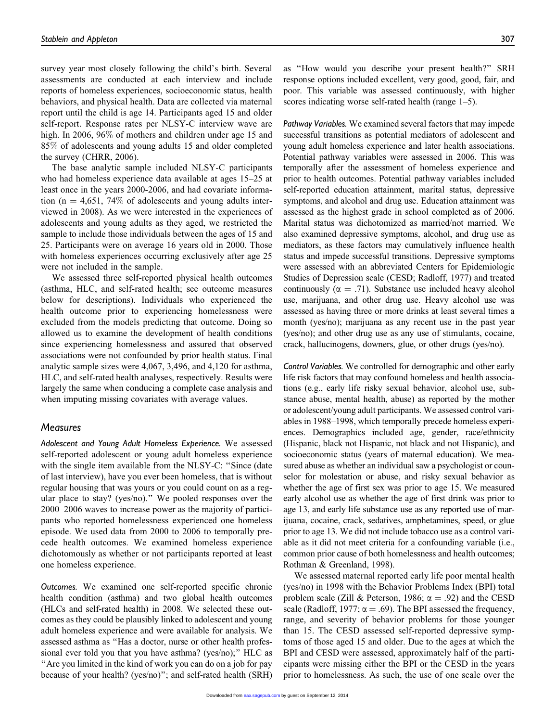survey year most closely following the child's birth. Several assessments are conducted at each interview and include reports of homeless experiences, socioeconomic status, health behaviors, and physical health. Data are collected via maternal report until the child is age 14. Participants aged 15 and older self-report. Response rates per NLSY-C interview wave are high. In 2006, 96% of mothers and children under age 15 and 85% of adolescents and young adults 15 and older completed the survey (CHRR, 2006).

The base analytic sample included NLSY-C participants who had homeless experience data available at ages 15–25 at least once in the years 2000-2006, and had covariate information ( $n = 4.651$ , 74% of adolescents and young adults interviewed in 2008). As we were interested in the experiences of adolescents and young adults as they aged, we restricted the sample to include those individuals between the ages of 15 and 25. Participants were on average 16 years old in 2000. Those with homeless experiences occurring exclusively after age 25 were not included in the sample.

We assessed three self-reported physical health outcomes (asthma, HLC, and self-rated health; see outcome measures below for descriptions). Individuals who experienced the health outcome prior to experiencing homelessness were excluded from the models predicting that outcome. Doing so allowed us to examine the development of health conditions since experiencing homelessness and assured that observed associations were not confounded by prior health status. Final analytic sample sizes were 4,067, 3,496, and 4,120 for asthma, HLC, and self-rated health analyses, respectively. Results were largely the same when conducing a complete case analysis and when imputing missing covariates with average values.

#### Measures

Adolescent and Young Adult Homeless Experience. We assessed self-reported adolescent or young adult homeless experience with the single item available from the NLSY-C: "Since (date of last interview), have you ever been homeless, that is without regular housing that was yours or you could count on as a regular place to stay? (yes/no).'' We pooled responses over the 2000–2006 waves to increase power as the majority of participants who reported homelessness experienced one homeless episode. We used data from 2000 to 2006 to temporally precede health outcomes. We examined homeless experience dichotomously as whether or not participants reported at least one homeless experience.

Outcomes. We examined one self-reported specific chronic health condition (asthma) and two global health outcomes (HLCs and self-rated health) in 2008. We selected these outcomes as they could be plausibly linked to adolescent and young adult homeless experience and were available for analysis. We assessed asthma as ''Has a doctor, nurse or other health professional ever told you that you have asthma? (yes/no);" HLC as ''Are you limited in the kind of work you can do on a job for pay because of your health? (yes/no)''; and self-rated health (SRH) as ''How would you describe your present health?'' SRH response options included excellent, very good, good, fair, and poor. This variable was assessed continuously, with higher scores indicating worse self-rated health (range 1–5).

Pathway Variables. We examined several factors that may impede successful transitions as potential mediators of adolescent and young adult homeless experience and later health associations. Potential pathway variables were assessed in 2006. This was temporally after the assessment of homeless experience and prior to health outcomes. Potential pathway variables included self-reported education attainment, marital status, depressive symptoms, and alcohol and drug use. Education attainment was assessed as the highest grade in school completed as of 2006. Marital status was dichotomized as married/not married. We also examined depressive symptoms, alcohol, and drug use as mediators, as these factors may cumulatively influence health status and impede successful transitions. Depressive symptoms were assessed with an abbreviated Centers for Epidemiologic Studies of Depression scale (CESD; Radloff, 1977) and treated continuously ( $\alpha = .71$ ). Substance use included heavy alcohol use, marijuana, and other drug use. Heavy alcohol use was assessed as having three or more drinks at least several times a month (yes/no); marijuana as any recent use in the past year (yes/no); and other drug use as any use of stimulants, cocaine, crack, hallucinogens, downers, glue, or other drugs (yes/no).

Control Variables. We controlled for demographic and other early life risk factors that may confound homeless and health associations (e.g., early life risky sexual behavior, alcohol use, substance abuse, mental health, abuse) as reported by the mother or adolescent/young adult participants. We assessed control variables in 1988–1998, which temporally precede homeless experiences. Demographics included age, gender, race/ethnicity (Hispanic, black not Hispanic, not black and not Hispanic), and socioeconomic status (years of maternal education). We measured abuse as whether an individual saw a psychologist or counselor for molestation or abuse, and risky sexual behavior as whether the age of first sex was prior to age 15. We measured early alcohol use as whether the age of first drink was prior to age 13, and early life substance use as any reported use of marijuana, cocaine, crack, sedatives, amphetamines, speed, or glue prior to age 13. We did not include tobacco use as a control variable as it did not meet criteria for a confounding variable (i.e., common prior cause of both homelessness and health outcomes; Rothman & Greenland, 1998).

We assessed maternal reported early life poor mental health (yes/no) in 1998 with the Behavior Problems Index (BPI) total problem scale (Zill & Peterson, 1986;  $\alpha = .92$ ) and the CESD scale (Radloff, 1977;  $\alpha = .69$ ). The BPI assessed the frequency, range, and severity of behavior problems for those younger than 15. The CESD assessed self-reported depressive symptoms of those aged 15 and older. Due to the ages at which the BPI and CESD were assessed, approximately half of the participants were missing either the BPI or the CESD in the years prior to homelessness. As such, the use of one scale over the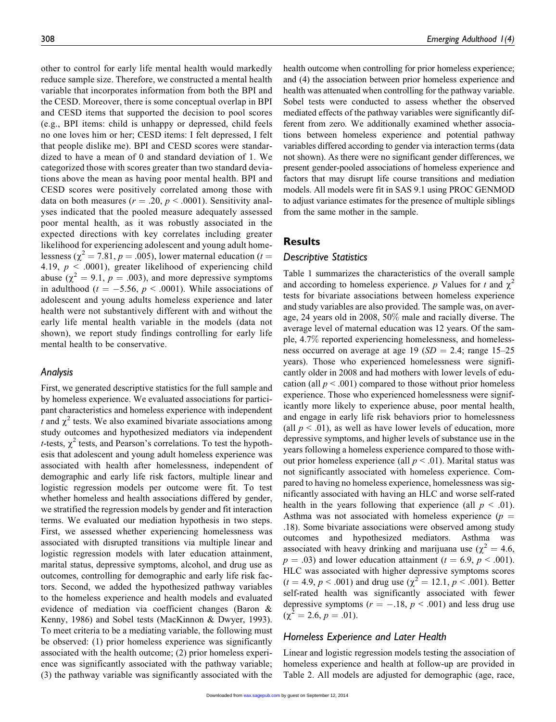other to control for early life mental health would markedly reduce sample size. Therefore, we constructed a mental health variable that incorporates information from both the BPI and the CESD. Moreover, there is some conceptual overlap in BPI and CESD items that supported the decision to pool scores (e.g., BPI items: child is unhappy or depressed, child feels no one loves him or her; CESD items: I felt depressed, I felt that people dislike me). BPI and CESD scores were standardized to have a mean of 0 and standard deviation of 1. We categorized those with scores greater than two standard deviations above the mean as having poor mental health. BPI and CESD scores were positively correlated among those with data on both measures ( $r = .20$ ,  $p < .0001$ ). Sensitivity analyses indicated that the pooled measure adequately assessed poor mental health, as it was robustly associated in the expected directions with key correlates including greater likelihood for experiencing adolescent and young adult homelessness ( $\chi^2$  = 7.81, p = .005), lower maternal education (t = 4.19,  $p < .0001$ ), greater likelihood of experiencing child abuse ( $\chi^2 = 9.1$ ,  $p = .003$ ), and more depressive symptoms in adulthood ( $t = -5.56$ ,  $p < .0001$ ). While associations of adolescent and young adults homeless experience and later health were not substantively different with and without the early life mental health variable in the models (data not shown), we report study findings controlling for early life mental health to be conservative.

## Analysis

First, we generated descriptive statistics for the full sample and by homeless experience. We evaluated associations for participant characteristics and homeless experience with independent t and  $\chi^2$  tests. We also examined bivariate associations among study outcomes and hypothesized mediators via independent *t*-tests,  $\chi^2$  tests, and Pearson's correlations. To test the hypothesis that adolescent and young adult homeless experience was associated with health after homelessness, independent of demographic and early life risk factors, multiple linear and logistic regression models per outcome were fit. To test whether homeless and health associations differed by gender, we stratified the regression models by gender and fit interaction terms. We evaluated our mediation hypothesis in two steps. First, we assessed whether experiencing homelessness was associated with disrupted transitions via multiple linear and logistic regression models with later education attainment, marital status, depressive symptoms, alcohol, and drug use as outcomes, controlling for demographic and early life risk factors. Second, we added the hypothesized pathway variables to the homeless experience and health models and evaluated evidence of mediation via coefficient changes (Baron & Kenny, 1986) and Sobel tests (MacKinnon & Dwyer, 1993). To meet criteria to be a mediating variable, the following must be observed: (1) prior homeless experience was significantly associated with the health outcome; (2) prior homeless experience was significantly associated with the pathway variable; (3) the pathway variable was significantly associated with the

health outcome when controlling for prior homeless experience; and (4) the association between prior homeless experience and health was attenuated when controlling for the pathway variable. Sobel tests were conducted to assess whether the observed mediated effects of the pathway variables were significantly different from zero. We additionally examined whether associations between homeless experience and potential pathway variables differed according to gender via interaction terms (data not shown). As there were no significant gender differences, we present gender-pooled associations of homeless experience and factors that may disrupt life course transitions and mediation models. All models were fit in SAS 9.1 using PROC GENMOD to adjust variance estimates for the presence of multiple siblings from the same mother in the sample.

# Results

## Descriptive Statistics

Table 1 summarizes the characteristics of the overall sample and according to homeless experience. p Values for t and  $\chi^2$ tests for bivariate associations between homeless experience and study variables are also provided. The sample was, on average, 24 years old in 2008, 50% male and racially diverse. The average level of maternal education was 12 years. Of the sample, 4.7% reported experiencing homelessness, and homelessness occurred on average at age 19 ( $SD = 2.4$ ; range 15–25 years). Those who experienced homelessness were significantly older in 2008 and had mothers with lower levels of education (all  $p < .001$ ) compared to those without prior homeless experience. Those who experienced homelessness were significantly more likely to experience abuse, poor mental health, and engage in early life risk behaviors prior to homelessness (all  $p < .01$ ), as well as have lower levels of education, more depressive symptoms, and higher levels of substance use in the years following a homeless experience compared to those without prior homeless experience (all  $p < .01$ ). Marital status was not significantly associated with homeless experience. Compared to having no homeless experience, homelessness was significantly associated with having an HLC and worse self-rated health in the years following that experience (all  $p < .01$ ). Asthma was not associated with homeless experience ( $p =$ .18). Some bivariate associations were observed among study outcomes and hypothesized mediators. Asthma was associated with heavy drinking and marijuana use ( $\chi^2 = 4.6$ ,  $p = .03$ ) and lower education attainment ( $t = 6.9, p < .001$ ). HLC was associated with higher depressive symptoms scores  $(t = 4.9, p < .001)$  and drug use  $(\chi^2 = 12.1, p < .001)$ . Better self-rated health was significantly associated with fewer depressive symptoms ( $r = -.18$ ,  $p < .001$ ) and less drug use  $(\chi^2 = 2.6, p = .01).$ 

# Homeless Experience and Later Health

Linear and logistic regression models testing the association of homeless experience and health at follow-up are provided in Table 2. All models are adjusted for demographic (age, race,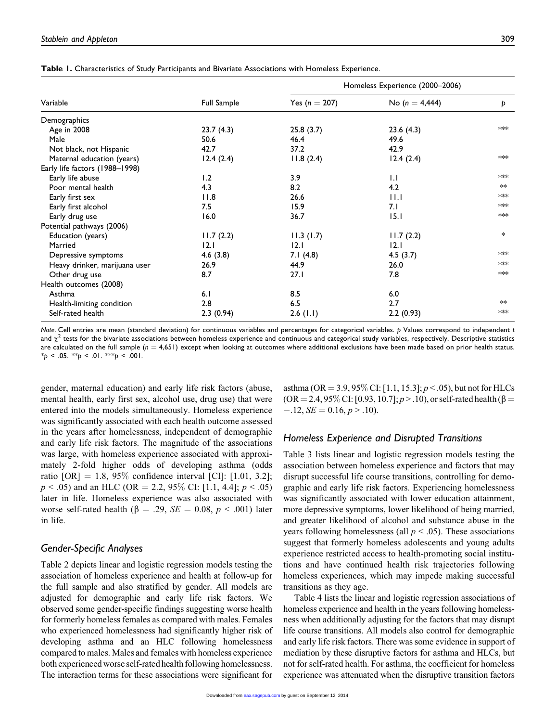|                                | <b>Full Sample</b> | Homeless Experience (2000-2006) |                    |     |
|--------------------------------|--------------------|---------------------------------|--------------------|-----|
| Variable                       |                    | Yes ( $n = 207$ )               | No ( $n = 4,444$ ) | Þ   |
| Demographics                   |                    |                                 |                    |     |
| Age in 2008                    | 23.7(4.3)          | 25.8(3.7)                       | 23.6(4.3)          | $*$ |
| Male                           | 50.6               | 46.4                            | 49.6               |     |
| Not black, not Hispanic        | 42.7               | 37.2                            | 42.9               |     |
| Maternal education (years)     | 12.4(2.4)          | 11.8(2.4)                       | 12.4(2.4)          | **  |
| Early life factors (1988-1998) |                    |                                 |                    |     |
| Early life abuse               | 1.2                | 3.9                             | 1.1                | $*$ |
| Poor mental health             | 4.3                | 8.2                             | 4.2                | $*$ |
| Early first sex                | 11.8               | 26.6                            | 11.1               | **  |
| Early first alcohol            | 7.5                | 15.9                            | 7.1                | **  |
| Early drug use                 | 16.0               | 36.7                            | 15.1               | $*$ |
| Potential pathways (2006)      |                    |                                 |                    |     |
| Education (years)              | 11.7(2.2)          | 11.3(1.7)                       | 11.7(2.2)          | *   |
| Married                        | 2.1                | 12.1                            | 2.1                |     |
| Depressive symptoms            | 4.6(3.8)           | 7.I (4.8)                       | 4.5(3.7)           | $*$ |
| Heavy drinker, marijuana user  | 26.9               | 44.9                            | 26.0               | $*$ |
| Other drug use                 | 8.7                | 27.1                            | 7.8                | $*$ |
| Health outcomes (2008)         |                    |                                 |                    |     |
| Asthma                         | 6.1                | 8.5                             | 6.0                |     |
| Health-limiting condition      | 2.8                | 6.5                             | 2.7                | **  |
| Self-rated health              | 2.3(0.94)          | $2.6$ (1.1)                     | 2.2(0.93)          | $*$ |

Table 1. Characteristics of Study Participants and Bivariate Associations with Homeless Experience.

Note. Cell entries are mean (standard deviation) for continuous variables and percentages for categorical variables. p Values correspond to independent t and  $\chi^2$  tests for the bivariate associations between homeless experience and continuous and categorical study variables, respectively. Descriptive statistics are calculated on the full sample  $(n = 4,651)$  except when looking at outcomes where additional exclusions have been made based on prior health status.  $*_{p}$  < .05.  $*_{p}$  < .01.  $*_{p}$  < .001.

gender, maternal education) and early life risk factors (abuse, mental health, early first sex, alcohol use, drug use) that were entered into the models simultaneously. Homeless experience was significantly associated with each health outcome assessed in the years after homelessness, independent of demographic and early life risk factors. The magnitude of the associations was large, with homeless experience associated with approximately 2-fold higher odds of developing asthma (odds ratio  $[OR] = 1.8, 95\%$  confidence interval  $[CI]: [1.01, 3.2];$  $p < .05$ ) and an HLC (OR = 2.2, 95% CI: [1.1, 4.4];  $p < .05$ ) later in life. Homeless experience was also associated with worse self-rated health ( $\beta = .29$ ,  $SE = 0.08$ ,  $p < .001$ ) later in life.

## Gender-Specific Analyses

Table 2 depicts linear and logistic regression models testing the association of homeless experience and health at follow-up for the full sample and also stratified by gender. All models are adjusted for demographic and early life risk factors. We observed some gender-specific findings suggesting worse health for formerly homeless females as compared with males. Females who experienced homelessness had significantly higher risk of developing asthma and an HLC following homelessness compared to males. Males and females with homeless experience both experienced worse self-rated health following homelessness. The interaction terms for these associations were significant for

asthma (OR = 3.9, 95% CI: [1.1, 15.3];  $p < .05$ ), but not for HLCs  $(OR = 2.4, 95\% \text{ CI}: [0.93, 10.7]; p > .10)$ , or self-rated health ( $\beta =$  $-.12, SE = 0.16, p > .10).$ 

## Homeless Experience and Disrupted Transitions

Table 3 lists linear and logistic regression models testing the association between homeless experience and factors that may disrupt successful life course transitions, controlling for demographic and early life risk factors. Experiencing homelessness was significantly associated with lower education attainment, more depressive symptoms, lower likelihood of being married, and greater likelihood of alcohol and substance abuse in the years following homelessness (all  $p < .05$ ). These associations suggest that formerly homeless adolescents and young adults experience restricted access to health-promoting social institutions and have continued health risk trajectories following homeless experiences, which may impede making successful transitions as they age.

Table 4 lists the linear and logistic regression associations of homeless experience and health in the years following homelessness when additionally adjusting for the factors that may disrupt life course transitions. All models also control for demographic and early life risk factors. There was some evidence in support of mediation by these disruptive factors for asthma and HLCs, but not for self-rated health. For asthma, the coefficient for homeless experience was attenuated when the disruptive transition factors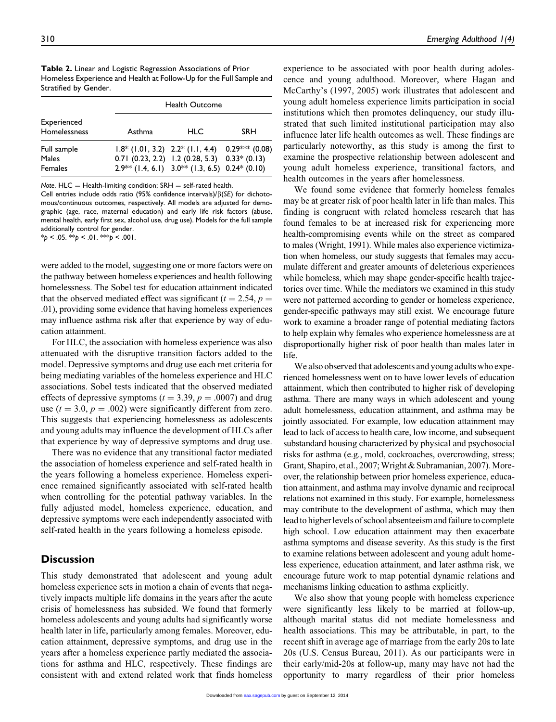|                                        | <b>Health Outcome</b> |                                                                                                                                                                  |            |  |
|----------------------------------------|-----------------------|------------------------------------------------------------------------------------------------------------------------------------------------------------------|------------|--|
| Experienced<br>Homelessness            | Asthma                | HLC.                                                                                                                                                             | <b>SRH</b> |  |
| Full sample<br>Males<br><b>Females</b> |                       | $1.8*$ (1.01, 3.2) 2.2* (1.1, 4.4) 0.29*** (0.08)<br>$0.71$ (0.23, 2.2) 1.2 (0.28, 5.3) 0.33* (0.13)<br>$2.9^{**}$ (1.4, 6.1) $3.0^{**}$ (1.3, 6.5) 0.24* (0.10) |            |  |

Note.  $HLC =$  Health-limiting condition;  $SRH =$  self-rated health.

Cell entries include odds ratio (95% confidence intervals)/ $\beta$ (SE) for dichotomous/continuous outcomes, respectively. All models are adjusted for demographic (age, race, maternal education) and early life risk factors (abuse, mental health, early first sex, alcohol use, drug use). Models for the full sample additionally control for gender.

 $*_p$  < .05.  $*_p$  < .01.  $**_p$  < .001.

were added to the model, suggesting one or more factors were on the pathway between homeless experiences and health following homelessness. The Sobel test for education attainment indicated that the observed mediated effect was significant ( $t = 2.54$ ,  $p =$ .01), providing some evidence that having homeless experiences may influence asthma risk after that experience by way of education attainment.

For HLC, the association with homeless experience was also attenuated with the disruptive transition factors added to the model. Depressive symptoms and drug use each met criteria for being mediating variables of the homeless experience and HLC associations. Sobel tests indicated that the observed mediated effects of depressive symptoms ( $t = 3.39$ ,  $p = .0007$ ) and drug use ( $t = 3.0, p = .002$ ) were significantly different from zero. This suggests that experiencing homelessness as adolescents and young adults may influence the development of HLCs after that experience by way of depressive symptoms and drug use.

There was no evidence that any transitional factor mediated the association of homeless experience and self-rated health in the years following a homeless experience. Homeless experience remained significantly associated with self-rated health when controlling for the potential pathway variables. In the fully adjusted model, homeless experience, education, and depressive symptoms were each independently associated with self-rated health in the years following a homeless episode.

# **Discussion**

This study demonstrated that adolescent and young adult homeless experience sets in motion a chain of events that negatively impacts multiple life domains in the years after the acute crisis of homelessness has subsided. We found that formerly homeless adolescents and young adults had significantly worse health later in life, particularly among females. Moreover, education attainment, depressive symptoms, and drug use in the years after a homeless experience partly mediated the associations for asthma and HLC, respectively. These findings are consistent with and extend related work that finds homeless

experience to be associated with poor health during adolescence and young adulthood. Moreover, where Hagan and McCarthy's (1997, 2005) work illustrates that adolescent and young adult homeless experience limits participation in social institutions which then promotes delinquency, our study illustrated that such limited institutional participation may also influence later life health outcomes as well. These findings are particularly noteworthy, as this study is among the first to examine the prospective relationship between adolescent and young adult homeless experience, transitional factors, and health outcomes in the years after homelessness.

We found some evidence that formerly homeless females may be at greater risk of poor health later in life than males. This finding is congruent with related homeless research that has found females to be at increased risk for experiencing more health-compromising events while on the street as compared to males (Wright, 1991). While males also experience victimization when homeless, our study suggests that females may accumulate different and greater amounts of deleterious experiences while homeless, which may shape gender-specific health trajectories over time. While the mediators we examined in this study were not patterned according to gender or homeless experience, gender-specific pathways may still exist. We encourage future work to examine a broader range of potential mediating factors to help explain why females who experience homelessness are at disproportionally higher risk of poor health than males later in life.

We also observed that adolescents and young adults who experienced homelessness went on to have lower levels of education attainment, which then contributed to higher risk of developing asthma. There are many ways in which adolescent and young adult homelessness, education attainment, and asthma may be jointly associated. For example, low education attainment may lead to lack of access to health care, low income, and subsequent substandard housing characterized by physical and psychosocial risks for asthma (e.g., mold, cockroaches, overcrowding, stress; Grant, Shapiro, et al., 2007; Wright & Subramanian, 2007). Moreover, the relationship between prior homeless experience, education attainment, and asthma may involve dynamic and reciprocal relations not examined in this study. For example, homelessness may contribute to the development of asthma, which may then lead to higher levels of school absenteeism and failure to complete high school. Low education attainment may then exacerbate asthma symptoms and disease severity. As this study is the first to examine relations between adolescent and young adult homeless experience, education attainment, and later asthma risk, we encourage future work to map potential dynamic relations and mechanisms linking education to asthma explicitly.

We also show that young people with homeless experience were significantly less likely to be married at follow-up, although marital status did not mediate homelessness and health associations. This may be attributable, in part, to the recent shift in average age of marriage from the early 20s to late 20s (U.S. Census Bureau, 2011). As our participants were in their early/mid-20s at follow-up, many may have not had the opportunity to marry regardless of their prior homeless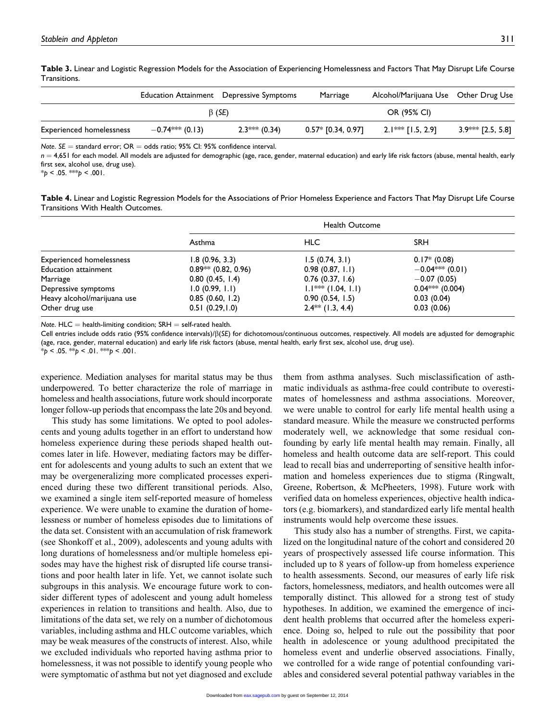Table 3. Linear and Logistic Regression Models for the Association of Experiencing Homelessness and Factors That May Disrupt Life Course Transitions.

|                                 |                   | Education Attainment Depressive Symptoms | Marriage             | Alcohol/Marijuana Use Other Drug Use |                     |
|---------------------------------|-------------------|------------------------------------------|----------------------|--------------------------------------|---------------------|
|                                 |                   | $\beta$ (SE)                             |                      | OR (95% CI)                          |                     |
| <b>Experienced homelessness</b> | $-0.74***$ (0.13) | $2.3***$ (0.34)                          | $0.57*$ [0.34, 0.97] | $2.1***$ [1.5, 2.9]                  | $3.9***$ [2.5, 5.8] |

Note.  $SE =$  standard error;  $OR =$  odds ratio; 95% CI: 95% confidence interval.

 $n = 4,651$  for each model. All models are adjusted for demographic (age, race, gender, maternal education) and early life risk factors (abuse, mental health, early first sex, alcohol use, drug use).

 $*_{p}$  < .05.  $**_{p}$  < .001.

Table 4. Linear and Logistic Regression Models for the Associations of Prior Homeless Experience and Factors That May Disrupt Life Course Transitions With Health Outcomes.

|                                 | <b>Health Outcome</b>  |                      |                    |
|---------------------------------|------------------------|----------------------|--------------------|
|                                 | Asthma                 | <b>HLC</b>           | <b>SRH</b>         |
| <b>Experienced homelessness</b> | 1.8(0.96, 3.3)         | 1.5(0.74, 3.1)       | $0.17* (0.08)$     |
| <b>Education attainment</b>     | $0.89***$ (0.82, 0.96) | 0.98(0.87, 1.1)      | $-0.04***(0.01)$   |
| Marriage                        | 0.80(0.45, 1.4)        | $0.76$ (0.37, 1.6)   | $-0.07(0.05)$      |
| Depressive symptoms             | 1.0(0.99, 1.1)         | $1.1***$ (1.04, 1.1) | $0.04$ *** (0.004) |
| Heavy alcohol/marijuana use     | 0.85(0.60, 1.2)        | 0.90(0.54, 1.5)      | 0.03(0.04)         |
| Other drug use                  | 0.51(0.29, 1.0)        | $2.4***$ (1.3, 4.4)  | 0.03(0.06)         |

Note.  $HLC =$  health-limiting condition;  $SRH =$  self-rated health.

Cell entries include odds ratio (95% confidence intervals)/ $\beta$ (SE) for dichotomous/continuous outcomes, respectively. All models are adjusted for demographic (age, race, gender, maternal education) and early life risk factors (abuse, mental health, early first sex, alcohol use, drug use).  $*_{p}$  < .05.  $*_{p}$  < .01.  $*_{p}$  < .001.

experience. Mediation analyses for marital status may be thus underpowered. To better characterize the role of marriage in homeless and health associations, future work should incorporate longer follow-up periods that encompass the late 20s and beyond.

This study has some limitations. We opted to pool adolescents and young adults together in an effort to understand how homeless experience during these periods shaped health outcomes later in life. However, mediating factors may be different for adolescents and young adults to such an extent that we may be overgeneralizing more complicated processes experienced during these two different transitional periods. Also, we examined a single item self-reported measure of homeless experience. We were unable to examine the duration of homelessness or number of homeless episodes due to limitations of the data set. Consistent with an accumulation of risk framework (see Shonkoff et al., 2009), adolescents and young adults with long durations of homelessness and/or multiple homeless episodes may have the highest risk of disrupted life course transitions and poor health later in life. Yet, we cannot isolate such subgroups in this analysis. We encourage future work to consider different types of adolescent and young adult homeless experiences in relation to transitions and health. Also, due to limitations of the data set, we rely on a number of dichotomous variables, including asthma and HLC outcome variables, which may be weak measures of the constructs of interest. Also, while we excluded individuals who reported having asthma prior to homelessness, it was not possible to identify young people who were symptomatic of asthma but not yet diagnosed and exclude

them from asthma analyses. Such misclassification of asthmatic individuals as asthma-free could contribute to overestimates of homelessness and asthma associations. Moreover, we were unable to control for early life mental health using a standard measure. While the measure we constructed performs moderately well, we acknowledge that some residual confounding by early life mental health may remain. Finally, all homeless and health outcome data are self-report. This could lead to recall bias and underreporting of sensitive health information and homeless experiences due to stigma (Ringwalt, Greene, Robertson, & McPheeters, 1998). Future work with verified data on homeless experiences, objective health indicators (e.g. biomarkers), and standardized early life mental health instruments would help overcome these issues.

This study also has a number of strengths. First, we capitalized on the longitudinal nature of the cohort and considered 20 years of prospectively assessed life course information. This included up to 8 years of follow-up from homeless experience to health assessments. Second, our measures of early life risk factors, homelessness, mediators, and health outcomes were all temporally distinct. This allowed for a strong test of study hypotheses. In addition, we examined the emergence of incident health problems that occurred after the homeless experience. Doing so, helped to rule out the possibility that poor health in adolescence or young adulthood precipitated the homeless event and underlie observed associations. Finally, we controlled for a wide range of potential confounding variables and considered several potential pathway variables in the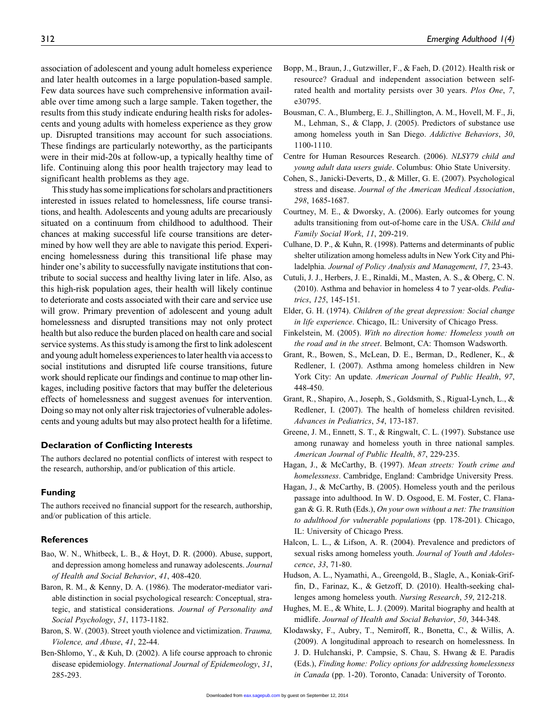association of adolescent and young adult homeless experience and later health outcomes in a large population-based sample. Few data sources have such comprehensive information available over time among such a large sample. Taken together, the results from this study indicate enduring health risks for adolescents and young adults with homeless experience as they grow up. Disrupted transitions may account for such associations. These findings are particularly noteworthy, as the participants were in their mid-20s at follow-up, a typically healthy time of life. Continuing along this poor health trajectory may lead to significant health problems as they age.

This study has some implications for scholars and practitioners interested in issues related to homelessness, life course transitions, and health. Adolescents and young adults are precariously situated on a continuum from childhood to adulthood. Their chances at making successful life course transitions are determined by how well they are able to navigate this period. Experiencing homelessness during this transitional life phase may hinder one's ability to successfully navigate institutions that contribute to social success and healthy living later in life. Also, as this high-risk population ages, their health will likely continue to deteriorate and costs associated with their care and service use will grow. Primary prevention of adolescent and young adult homelessness and disrupted transitions may not only protect health but also reduce the burden placed on health care and social service systems. As this study is among the first to link adolescent and young adult homeless experiences to later health via access to social institutions and disrupted life course transitions, future work should replicate our findings and continue to map other linkages, including positive factors that may buffer the deleterious effects of homelessness and suggest avenues for intervention. Doing so may not only alter risk trajectories of vulnerable adolescents and young adults but may also protect health for a lifetime.

#### Declaration of Conflicting Interests

The authors declared no potential conflicts of interest with respect to the research, authorship, and/or publication of this article.

#### Funding

The authors received no financial support for the research, authorship, and/or publication of this article.

#### **References**

- Bao, W. N., Whitbeck, L. B., & Hoyt, D. R. (2000). Abuse, support, and depression among homeless and runaway adolescents. Journal of Health and Social Behavior, 41, 408-420.
- Baron, R. M., & Kenny, D. A. (1986). The moderator-mediator variable distinction in social psychological research: Conceptual, strategic, and statistical considerations. Journal of Personality and Social Psychology, 51, 1173-1182.
- Baron, S. W. (2003). Street youth violence and victimization. Trauma, Violence, and Abuse, 41, 22-44.
- Ben-Shlomo, Y., & Kuh, D. (2002). A life course approach to chronic disease epidemiology. International Journal of Epidemeology, 31, 285-293.
- Bopp, M., Braun, J., Gutzwiller, F., & Faeh, D. (2012). Health risk or resource? Gradual and independent association between selfrated health and mortality persists over 30 years. Plos One, 7, e30795.
- Bousman, C. A., Blumberg, E. J., Shillington, A. M., Hovell, M. F., Ji, M., Lehman, S., & Clapp, J. (2005). Predictors of substance use among homeless youth in San Diego. Addictive Behaviors, 30, 1100-1110.
- Centre for Human Resources Research. (2006). NLSY79 child and young adult data users guide. Columbus: Ohio State University.
- Cohen, S., Janicki-Deverts, D., & Miller, G. E. (2007). Psychological stress and disease. Journal of the American Medical Association, 298, 1685-1687.
- Courtney, M. E., & Dworsky, A. (2006). Early outcomes for young adults transitioning from out-of-home care in the USA. Child and Family Social Work, 11, 209-219.
- Culhane, D. P., & Kuhn, R. (1998). Patterns and determinants of public shelter utilization among homeless adults in New York City and Philadelphia. Journal of Policy Analysis and Management, 17, 23-43.
- Cutuli, J. J., Herbers, J. E., Rinaldi, M., Masten, A. S., & Oberg, C. N. (2010). Asthma and behavior in homeless 4 to 7 year-olds. Pediatrics, 125, 145-151.
- Elder, G. H. (1974). Children of the great depression: Social change in life experience. Chicago, IL: University of Chicago Press.
- Finkelstein, M. (2005). With no direction home: Homeless youth on the road and in the street. Belmont, CA: Thomson Wadsworth.
- Grant, R., Bowen, S., McLean, D. E., Berman, D., Redlener, K., & Redlener, I. (2007). Asthma among homeless children in New York City: An update. American Journal of Public Health, 97, 448-450.
- Grant, R., Shapiro, A., Joseph, S., Goldsmith, S., Rigual-Lynch, L., & Redlener, I. (2007). The health of homeless children revisited. Advances in Pediatrics, 54, 173-187.
- Greene, J. M., Ennett, S. T., & Ringwalt, C. L. (1997). Substance use among runaway and homeless youth in three national samples. American Journal of Public Health, 87, 229-235.
- Hagan, J., & McCarthy, B. (1997). Mean streets: Youth crime and homelessness. Cambridge, England: Cambridge University Press.
- Hagan, J., & McCarthy, B. (2005). Homeless youth and the perilous passage into adulthood. In W. D. Osgood, E. M. Foster, C. Flanagan & G. R. Ruth (Eds.), On your own without a net: The transition to adulthood for vulnerable populations (pp. 178-201). Chicago, IL: University of Chicago Press.
- Halcon, L. L., & Lifson, A. R. (2004). Prevalence and predictors of sexual risks among homeless youth. Journal of Youth and Adolescence, 33, 71-80.
- Hudson, A. L., Nyamathi, A., Greengold, B., Slagle, A., Koniak-Griffin, D., Farinaz, K., & Getzoff, D. (2010). Health-seeking challenges among homeless youth. Nursing Research, 59, 212-218.
- Hughes, M. E., & White, L. J. (2009). Marital biography and health at midlife. Journal of Health and Social Behavior, 50, 344-348.
- Klodawsky, F., Aubry, T., Nemiroff, R., Bonetta, C., & Willis, A. (2009). A longitudinal approach to research on homelessness. In J. D. Hulchanski, P. Campsie, S. Chau, S. Hwang & E. Paradis (Eds.), Finding home: Policy options for addressing homelessness in Canada (pp. 1-20). Toronto, Canada: University of Toronto.